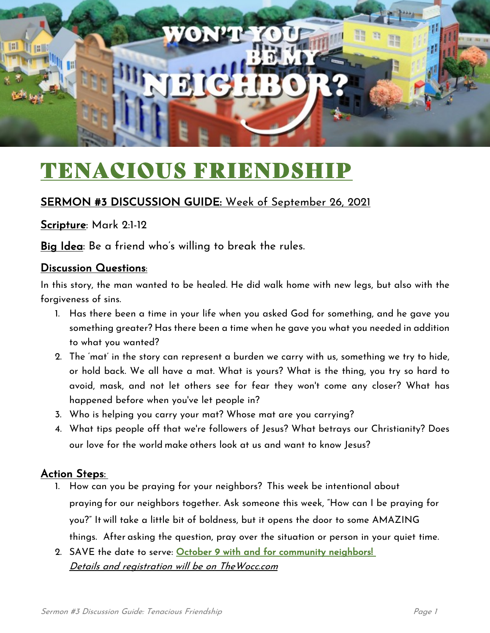

# TENACIOUS FRIENDSHIP

### SERMON #3 DISCUSSION GUIDE: Week of September 26, 2021

Scripture: Mark 2:1-12

Big Idea: Be a friend who's willing to break the rules.

#### Discussion Questions:

In this story, the man wanted to be healed. He did walk home with new legs, but also with the forgiveness of sins.

- 1. Has there been a time in your life when you asked God for something, and he gave you something greater? Has there been a time when he gave you what you needed in addition to what you wanted?
- 2. The 'mat' in the story can represent a burden we carry with us, something we try to hide, or hold back. We all have a mat. What is yours? What is the thing, you try so hard to avoid, mask, and not let others see for fear they won't come any closer? What has happened before when you've let people in?
- 3. Who is helping you carry your mat? Whose mat are you carrying?
- 4. What tips people off that we're followers of Jesus? What betrays our Christianity? Does our love for the world make others look at us and want to know Jesus?

#### Action Steps:

- 1. How can you be praying for your neighbors? This week be intentional about praying for our neighbors together. Ask someone this week, "How can I be praying for you?" It will take a little bit of boldness, but it opens the door to some AMAZING things. After asking the question, pray over the situation or person in your quiet time.
- 2. SAVE the date to serve: October 9 with and for community neighbors! Details and registration will be on TheWocc.com